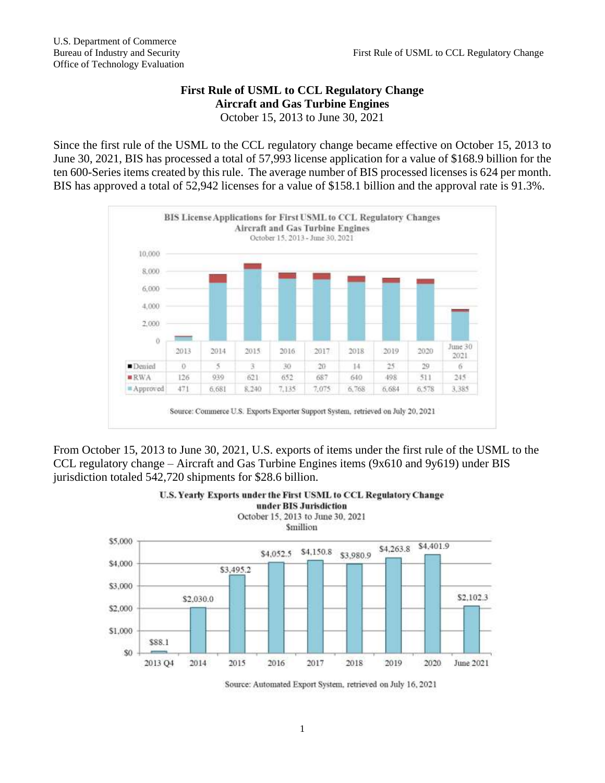## **First Rule of USML to CCL Regulatory Change Aircraft and Gas Turbine Engines**

October 15, 2013 to June 30, 2021

Since the first rule of the USML to the CCL regulatory change became effective on October 15, 2013 to June 30, 2021, BIS has processed a total of 57,993 license application for a value of \$168.9 billion for the ten 600-Series items created by this rule. The average number of BIS processed licenses is 624 per month. BIS has approved a total of 52,942 licenses for a value of \$158.1 billion and the approval rate is 91.3%.



From October 15, 2013 to June 30, 2021, U.S. exports of items under the first rule of the USML to the CCL regulatory change – Aircraft and Gas Turbine Engines items (9x610 and 9y619) under BIS jurisdiction totaled 542,720 shipments for \$28.6 billion.



Source: Automated Export System, retrieved on July 16, 2021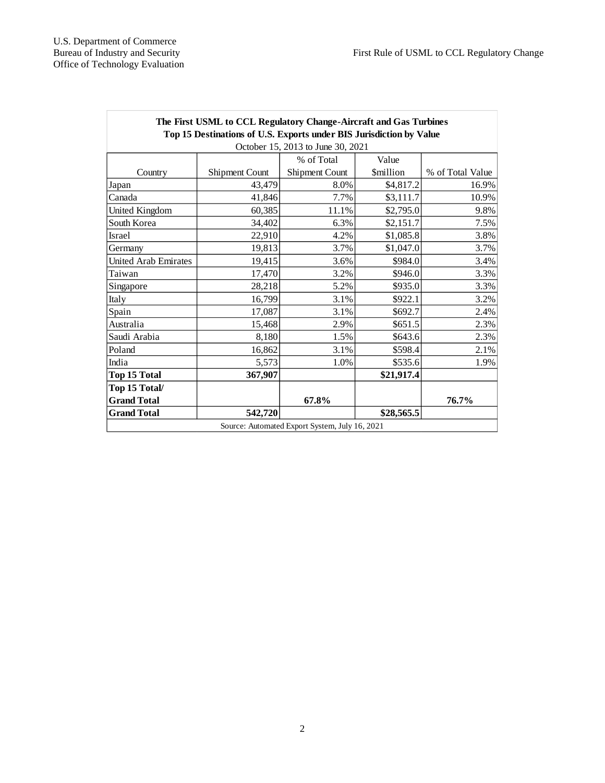| The First USML to CCL Regulatory Change-Aircraft and Gas Turbines<br>Top 15 Destinations of U.S. Exports under BIS Jurisdiction by Value |                |                |                        |                  |
|------------------------------------------------------------------------------------------------------------------------------------------|----------------|----------------|------------------------|------------------|
| October 15, 2013 to June 30, 2021                                                                                                        |                |                |                        |                  |
|                                                                                                                                          |                | % of Total     | Value                  |                  |
| Country                                                                                                                                  | Shipment Count | Shipment Count | <i><b>Smillion</b></i> | % of Total Value |
| Japan                                                                                                                                    | 43,479         | 8.0%           | \$4,817.2              | 16.9%            |
| Canada                                                                                                                                   | 41,846         | 7.7%           | \$3,111.7              | 10.9%            |
| United Kingdom                                                                                                                           | 60,385         | 11.1%          | \$2,795.0              | 9.8%             |
| South Korea                                                                                                                              | 34,402         | 6.3%           | \$2,151.7              | 7.5%             |
| Israel                                                                                                                                   | 22,910         | 4.2%           | \$1,085.8              | 3.8%             |
| Germany                                                                                                                                  | 19,813         | 3.7%           | \$1,047.0              | 3.7%             |
| <b>United Arab Emirates</b>                                                                                                              | 19,415         | 3.6%           | \$984.0                | 3.4%             |
| Taiwan                                                                                                                                   | 17,470         | 3.2%           | \$946.0                | 3.3%             |
| Singapore                                                                                                                                | 28,218         | 5.2%           | \$935.0                | 3.3%             |
| Italy                                                                                                                                    | 16,799         | 3.1%           | \$922.1                | 3.2%             |
| Spain                                                                                                                                    | 17,087         | 3.1%           | \$692.7                | 2.4%             |
| Australia                                                                                                                                | 15,468         | 2.9%           | \$651.5                | 2.3%             |
| Saudi Arabia                                                                                                                             | 8,180          | 1.5%           | \$643.6                | 2.3%             |
| Poland                                                                                                                                   | 16,862         | 3.1%           | \$598.4                | 2.1%             |
| India                                                                                                                                    | 5,573          | 1.0%           | \$535.6                | 1.9%             |
| <b>Top 15 Total</b>                                                                                                                      | 367,907        |                | \$21,917.4             |                  |
| Top 15 Total/                                                                                                                            |                |                |                        |                  |
| <b>Grand Total</b>                                                                                                                       |                | 67.8%          |                        | 76.7%            |
| <b>Grand Total</b>                                                                                                                       | 542,720        |                | \$28,565.5             |                  |
| Source: Automated Export System, July 16, 2021                                                                                           |                |                |                        |                  |